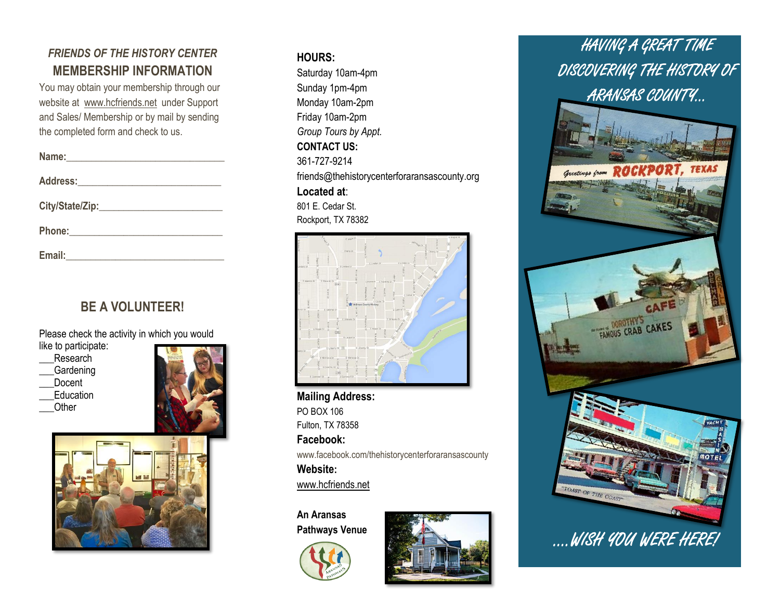### *FRIENDS OF THE HISTORY CENTER* **MEMBERSHIP INFORMATION**

You may obtain your membership through our website at [www.hcfriends.net](http://www.hcfriends.net/) under Support and Sales/ Membership or by mail by sending the completed form and check to us.

| Address: Andrea Address: Andrea Address: Andrea Address: Address: Address: Address: Address: Address: Address: A |  |
|------------------------------------------------------------------------------------------------------------------|--|
|                                                                                                                  |  |
|                                                                                                                  |  |
| Email:                                                                                                           |  |

# **BE A VOLUNTEER!**

Please check the activity in which you would

like to participate:

- Research
- \_\_\_Gardening
- Docent
- **Education**
- \_\_\_Other





### **HOURS:**

Saturday 10am-4pm Sunday 1pm-4pm Monday 10am-2pm Friday 10am-2pm *Group Tours by Appt.*  **CONTACT US:**  361-727-9214 friends@thehistorycenterforaransascounty.org **Located at**: 801 E. Cedar St. Rockport, TX 78382



**Mailing Address:**  PO BOX 106 Fulton, TX 78358 **Facebook:**  www.facebook.com/thehistorycenterforaransascounty **Website:** www.hcfriends.net

**An Aransas Pathways Venue**





# HAVING A GREAT TIME DISCOVERING THE HISTORY OF ARANSAS COUNTY…